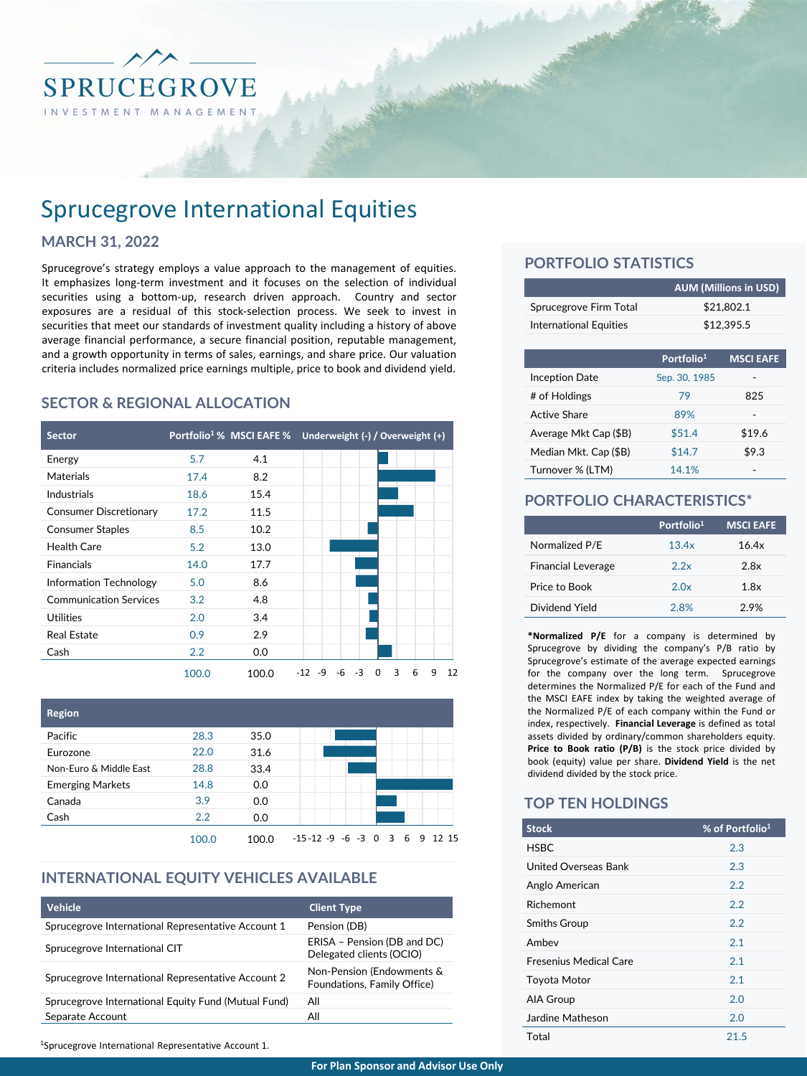

# Sprucegrove International Equities

#### **MARCH 31, 2022**

Sprucegrove's strategy employs a value approach to the management of equities. It emphasizes long-term investment and it focuses on the selection of individual securities using a bottom-up, research driven approach. Country and sector exposures are a residual of this stock-selection process. We seek to invest in securities that meet our standards of investment quality including a history of above average financial performance, a secure financial position, reputable management, and a growth opportunity in terms of sales, earnings, and share price. Our valuation criteria includes normalized price earnings multiple, price to book and dividend yield.

### **SECTOR & REGIONAL ALLOCATION**

| <b>Sector</b>                 |       | Portfolio <sup>1</sup> % MSCI EAFE % | Underweight (-) / Overweight (+)                |
|-------------------------------|-------|--------------------------------------|-------------------------------------------------|
| Energy                        | 5.7   | 4.1                                  |                                                 |
| Materials                     | 17.4  | 8.2                                  |                                                 |
| Industrials                   | 18.6  | 15.4                                 |                                                 |
| <b>Consumer Discretionary</b> | 17.2  | 11.5                                 |                                                 |
| <b>Consumer Staples</b>       | 8.5   | 10.2                                 |                                                 |
| Health Care                   | 5.2   | 13.0                                 |                                                 |
| <b>Financials</b>             | 14.0  | 17.7                                 |                                                 |
| Information Technology        | 5.0   | 8.6                                  |                                                 |
| <b>Communication Services</b> | 3.2   | 4.8                                  |                                                 |
| <b>Utilities</b>              | 2.0   | 3.4                                  |                                                 |
| <b>Real Estate</b>            | 0.9   | 2.9                                  |                                                 |
| Cash                          | 2.2   | 0.0                                  |                                                 |
|                               | 100.0 | 100.0                                | 3<br>12<br>-6<br>-3<br>6<br>9<br>-12<br>-9<br>0 |



# **INTERNATIONAL EQUITY VEHICLES AVAILABLE**

| Vehicle                                             | <b>Client Type</b>                                       |
|-----------------------------------------------------|----------------------------------------------------------|
| Sprucegrove International Representative Account 1  | Pension (DB)                                             |
| Sprucegrove International CIT                       | ERISA - Pension (DB and DC)<br>Delegated clients (OCIO)  |
| Sprucegrove International Representative Account 2  | Non-Pension (Endowments &<br>Foundations, Family Office) |
| Sprucegrove International Equity Fund (Mutual Fund) | All                                                      |
| Separate Account                                    | All                                                      |

## **PORTFOLIO STATISTICS**

|                               | <b>AUM (Millions in USD)</b> |
|-------------------------------|------------------------------|
| Sprucegrove Firm Total        | \$21.802.1                   |
| <b>International Equities</b> | \$12.395.5                   |

|                       | Portfolio <sup>1</sup> | <b>MSCI EAFE</b> |
|-----------------------|------------------------|------------------|
| <b>Inception Date</b> | Sep. 30, 1985          |                  |
| # of Holdings         | 79                     | 825              |
| Active Share          | 89%                    |                  |
| Average Mkt Cap (\$B) | \$51.4                 | \$19.6           |
| Median Mkt. Cap (\$B) | \$14.7                 | \$9.3            |
| Turnover % (LTM)      | 14.1%                  |                  |

#### **PORTFOLIO CHARACTERISTICS\***

|                           | Portfolio <sup>1</sup> | <b>MSCI EAFE</b> |
|---------------------------|------------------------|------------------|
| Normalized P/E            | 13.4x                  | 16.4x            |
| <b>Financial Leverage</b> | 2.2x                   | 2.8x             |
| Price to Book             | 2.0x                   | 1.8x             |
| Dividend Yield            | 2.8%                   | 2.9%             |

**\*Normalized P/E** for a company is determined by Sprucegrove by dividing the company's P/B ratio by Sprucegrove's estimate of the average expected earnings for the company over the long term. Sprucegrove determines the Normalized P/E for each of the Fund and the MSCI EAFE index by taking the weighted average of the Normalized P/E of each company within the Fund or index, respectively. **Financial Leverage** is defined as total assets divided by ordinary/common shareholders equity. **Price to Book ratio (P/B)** is the stock price divided by book (equity) value per share. **Dividend Yield** is the net dividend divided by the stock price.

#### **TOP TEN HOLDINGS**

| <b>Stock</b>                  | % of Portfolio <sup>1</sup> |
|-------------------------------|-----------------------------|
| <b>HSBC</b>                   | 2.3                         |
| United Overseas Bank          | 2.3                         |
| Anglo American                | 2.2                         |
| Richemont                     | 2.2                         |
| <b>Smiths Group</b>           | 2.2                         |
| Ambey                         | 2.1                         |
| <b>Fresenius Medical Care</b> | 2.1                         |
| <b>Toyota Motor</b>           | 2.1                         |
| AIA Group                     | 2.0                         |
| Jardine Matheson              | 2.0                         |
| Total                         | 21.5                        |

1Sprucegrove International Representative Account 1.